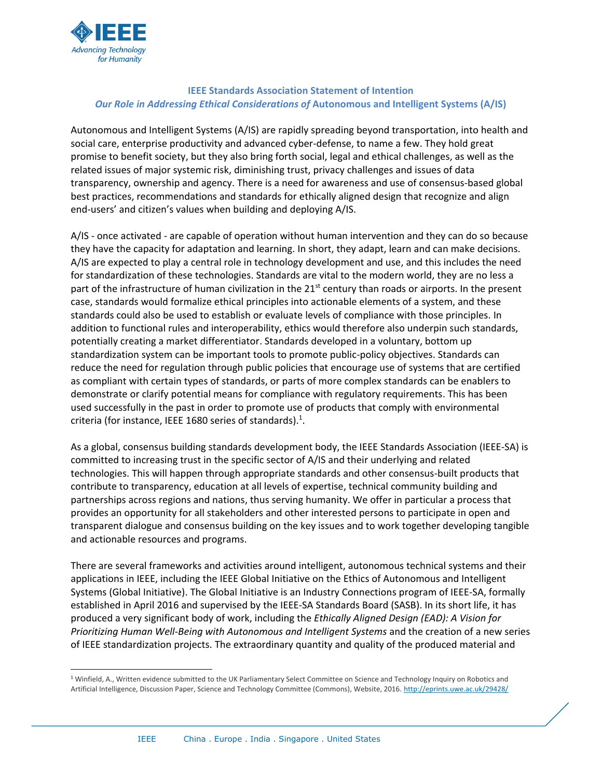

 $\overline{a}$ 

## **IEEE Standards Association Statement of Intention** *Our Role in Addressing Ethical Considerations of* **Autonomous and Intelligent Systems (A/IS)**

Autonomous and Intelligent Systems (A/IS) are rapidly spreading beyond transportation, into health and social care, enterprise productivity and advanced cyber-defense, to name a few. They hold great promise to benefit society, but they also bring forth social, legal and ethical challenges, as well as the related issues of major systemic risk, diminishing trust, privacy challenges and issues of data transparency, ownership and agency. There is a need for awareness and use of consensus-based global best practices, recommendations and standards for ethically aligned design that recognize and align end-users' and citizen's values when building and deploying A/IS.

A/IS - once activated - are capable of operation without human intervention and they can do so because they have the capacity for adaptation and learning. In short, they adapt, learn and can make decisions. A/IS are expected to play a central role in technology development and use, and this includes the need for standardization of these technologies. Standards are vital to the modern world, they are no less a part of the infrastructure of human civilization in the  $21<sup>st</sup>$  century than roads or airports. In the present case, standards would formalize ethical principles into actionable elements of a system, and these standards could also be used to establish or evaluate levels of compliance with those principles. In addition to functional rules and interoperability, ethics would therefore also underpin such standards, potentially creating a market differentiator. Standards developed in a voluntary, bottom up standardization system can be important tools to promote public-policy objectives. Standards can reduce the need for regulation through public policies that encourage use of systems that are certified as compliant with certain types of standards, or parts of more complex standards can be enablers to demonstrate or clarify potential means for compliance with regulatory requirements. This has been used successfully in the past in order to promote use of products that comply with environmental criteria (for instance, IEEE 1680 series of standards).<sup>1</sup>.

As a global, consensus building standards development body, the IEEE Standards Association (IEEE-SA) is committed to increasing trust in the specific sector of A/IS and their underlying and related technologies. This will happen through appropriate standards and other consensus-built products that contribute to transparency, education at all levels of expertise, technical community building and partnerships across regions and nations, thus serving humanity. We offer in particular a process that provides an opportunity for all stakeholders and other interested persons to participate in open and transparent dialogue and consensus building on the key issues and to work together developing tangible and actionable resources and programs.

There are several frameworks and activities around intelligent, autonomous technical systems and their applications in IEEE, including the IEEE Global Initiative on the Ethics of Autonomous and Intelligent Systems (Global Initiative). The Global Initiative is an Industry Connections program of IEEE-SA, formally established in April 2016 and supervised by the IEEE-SA Standards Board (SASB). In its short life, it has produced a very significant body of work, including the *Ethically Aligned Design (EAD): A Vision for Prioritizing Human Well-Being with Autonomous and Intelligent Systems* and the creation of a new series of IEEE standardization projects. The extraordinary quantity and quality of the produced material and

<sup>&</sup>lt;sup>1</sup> Winfield, A., Written evidence submitted to the UK Parliamentary Select Committee on Science and Technology Inquiry on Robotics and Artificial Intelligence, Discussion Paper, Science and Technology Committee (Commons), Website, 2016. <http://eprints.uwe.ac.uk/29428/>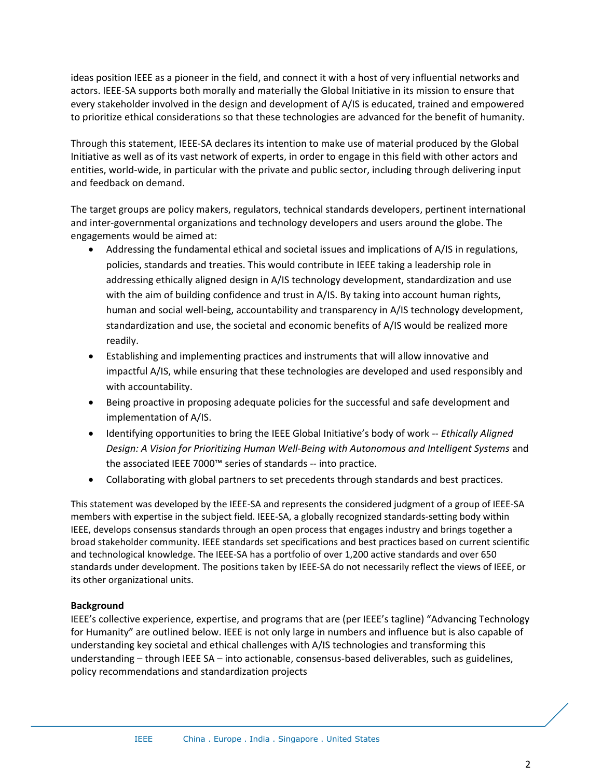ideas position IEEE as a pioneer in the field, and connect it with a host of very influential networks and actors. IEEE-SA supports both morally and materially the Global Initiative in its mission to ensure that every stakeholder involved in the design and development of A/IS is educated, trained and empowered to prioritize ethical considerations so that these technologies are advanced for the benefit of humanity.

Through this statement, IEEE-SA declares its intention to make use of material produced by the Global Initiative as well as of its vast network of experts, in order to engage in this field with other actors and entities, world-wide, in particular with the private and public sector, including through delivering input and feedback on demand.

The target groups are policy makers, regulators, technical standards developers, pertinent international and inter-governmental organizations and technology developers and users around the globe. The engagements would be aimed at:

- Addressing the fundamental ethical and societal issues and implications of A/IS in regulations, policies, standards and treaties. This would contribute in IEEE taking a leadership role in addressing ethically aligned design in A/IS technology development, standardization and use with the aim of building confidence and trust in A/IS. By taking into account human rights, human and social well-being, accountability and transparency in A/IS technology development, standardization and use, the societal and economic benefits of A/IS would be realized more readily.
- Establishing and implementing practices and instruments that will allow innovative and impactful A/IS, while ensuring that these technologies are developed and used responsibly and with accountability.
- Being proactive in proposing adequate policies for the successful and safe development and implementation of A/IS.
- Identifying opportunities to bring the IEEE Global Initiative's body of work -- *Ethically Aligned Design: A Vision for Prioritizing Human Well-Being with Autonomous and Intelligent Systems* and the associated IEEE 7000™ series of standards -- into practice.
- Collaborating with global partners to set precedents through standards and best practices.

This statement was developed by the IEEE-SA and represents the considered judgment of a group of IEEE-SA members with expertise in the subject field. IEEE-SA, a globally recognized standards-setting body within IEEE, develops consensus standards through an open process that engages industry and brings together a broad stakeholder community. IEEE standards set specifications and best practices based on current scientific and technological knowledge. The IEEE-SA has a portfolio of over 1,200 active standards and over 650 standards under development. The positions taken by IEEE-SA do not necessarily reflect the views of IEEE, or its other organizational units.

## **Background**

IEEE's collective experience, expertise, and programs that are (per IEEE's tagline) "Advancing Technology for Humanity" are outlined below. IEEE is not only large in numbers and influence but is also capable of understanding key societal and ethical challenges with A/IS technologies and transforming this understanding – through IEEE SA – into actionable, consensus-based deliverables, such as guidelines, policy recommendations and standardization projects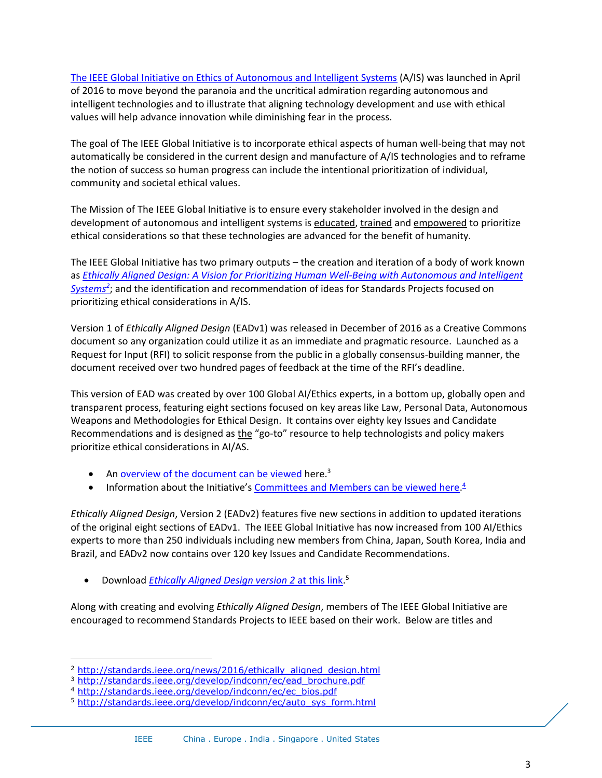[The IEEE Global Initiative on Ethics of Autonomous and Intelligent Systems](http://standards.ieee.org/develop/indconn/ec/autonomous_systems.html) (A/IS) was launched in April of 2016 to move beyond the paranoia and the uncritical admiration regarding autonomous and intelligent technologies and to illustrate that aligning technology development and use with ethical values will help advance innovation while diminishing fear in the process.

The goal of The IEEE Global Initiative is to incorporate ethical aspects of human well-being that may not automatically be considered in the current design and manufacture of A/IS technologies and to reframe the notion of success so human progress can include the intentional prioritization of individual, community and societal ethical values.

The Mission of The IEEE Global Initiative is to ensure every stakeholder involved in the design and development of autonomous and intelligent systems is educated, trained and empowered to prioritize ethical considerations so that these technologies are advanced for the benefit of humanity.

The IEEE Global Initiative has two primary outputs – the creation and iteration of a body of work known as *[Ethically Aligned Design: A Vision for Prioritizing Human Well-Being with](http://standards.ieee.org/news/2016/ethically_aligned_design.html) Autonomous and Intelligent [Systems](http://standards.ieee.org/news/2016/ethically_aligned_design.html)<sup>2</sup>* ; and the identification and recommendation of ideas for Standards Projects focused on prioritizing ethical considerations in A/IS.

Version 1 of *Ethically Aligned Design* (EADv1) was released in December of 2016 as a Creative Commons document so any organization could utilize it as an immediate and pragmatic resource. Launched as a Request for Input (RFI) to solicit response from the public in a globally consensus-building manner, the document received over two hundred pages of feedback at the time of the RFI's deadline.

This version of EAD was created by over 100 Global AI/Ethics experts, in a bottom up, globally open and transparent process, featuring eight sections focused on key areas like Law, Personal Data, Autonomous Weapons and Methodologies for Ethical Design. It contains over eighty key Issues and Candidate Recommendations and is designed as the "go-to" resource to help technologists and policy makers prioritize ethical considerations in AI/AS.

- An **overview of the document can be viewed** here.<sup>3</sup>
- Information about the Initiative's [Committees and Members can be viewed here.](http://standards.ieee.org/develop/indconn/ec/ec_bios.pdf)<sup>4</sup>

*Ethically Aligned Design*, Version 2 (EADv2) features five new sections in addition to updated iterations of the original eight sections of EADv1. The IEEE Global Initiative has now increased from 100 AI/Ethics experts to more than 250 individuals including new members from China, Japan, South Korea, India and Brazil, and EADv2 now contains over 120 key Issues and Candidate Recommendations.

**•** Download *[Ethically Aligned Design version 2](http://standards.ieee.org/develop/indconn/ec/auto_sys_form.html)* at this link.<sup>5</sup>

Along with creating and evolving *Ethically Aligned Design*, members of The IEEE Global Initiative are encouraged to recommend Standards Projects to IEEE based on their work. Below are titles and

 $\overline{a}$ 

<sup>&</sup>lt;sup>2</sup> [http://standards.ieee.org/news/2016/ethically\\_aligned\\_design.html](http://standards.ieee.org/news/2016/ethically_aligned_design.html)

<sup>&</sup>lt;sup>3</sup> [http://standards.ieee.org/develop/indconn/ec/ead\\_brochure.pdf](http://standards.ieee.org/develop/indconn/ec/ead_brochure.pdf)

<sup>4</sup> [http://standards.ieee.org/develop/indconn/ec/ec\\_bios.pdf](http://standards.ieee.org/develop/indconn/ec/ec_bios.pdf)

<sup>5</sup> [http://standards.ieee.org/develop/indconn/ec/auto\\_sys\\_form.html](http://standards.ieee.org/develop/indconn/ec/auto_sys_form.html)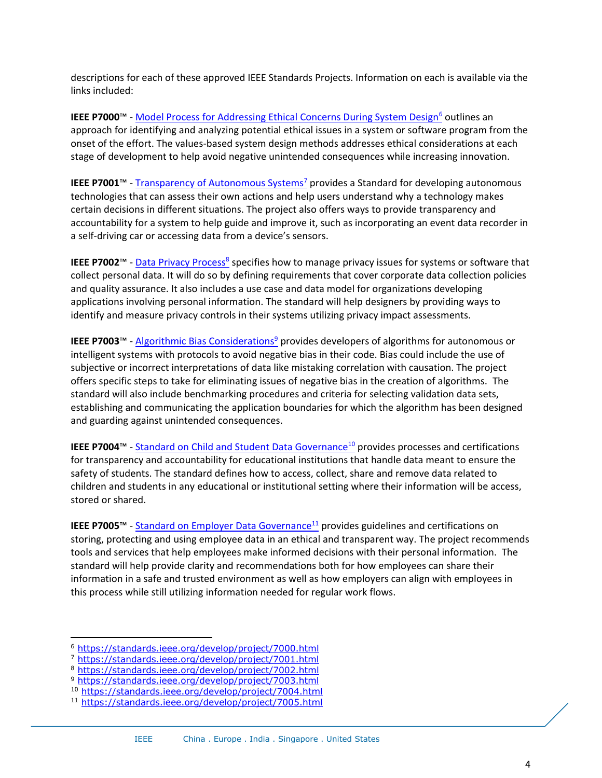descriptions for each of these approved IEEE Standards Projects. Information on each is available via the links included:

**IEEE P7000™ - [Model Process for Addressing Ethical Concerns During System Design](https://standards.ieee.org/develop/project/7000.html)<sup>6</sup> outlines an** approach for identifying and analyzing potential ethical issues in a system or software program from the onset of the effort. The values-based system design methods addresses ethical considerations at each stage of development to help avoid negative unintended consequences while increasing innovation.

**IEEE P7001™ - [Transparency of Autonomous Systems](https://standards.ieee.org/develop/project/7001.html)<sup>7</sup> provides a Standard for developing autonomous** technologies that can assess their own actions and help users understand why a technology makes certain decisions in different situations. The project also offers ways to provide transparency and accountability for a system to help guide and improve it, such as incorporating an event data recorder in a self-driving car or accessing data from a device's sensors.

IEEE P7002™ - **[Data Privacy Process](https://standards.ieee.org/develop/project/7002.html)<sup>8</sup> specifies how to manage privacy issues for systems or software that** collect personal data. It will do so by defining requirements that cover corporate data collection policies and quality assurance. It also includes a use case and data model for organizations developing applications involving personal information. The standard will help designers by providing ways to identify and measure privacy controls in their systems utilizing privacy impact assessments.

**IEEE P7003™ - [Algorithmic Bias Considerations](https://standards.ieee.org/develop/project/7003.html)<sup>9</sup> provides developers of algorithms for autonomous or** intelligent systems with protocols to avoid negative bias in their code. Bias could include the use of subjective or incorrect interpretations of data like mistaking correlation with causation. The project offers specific steps to take for eliminating issues of negative bias in the creation of algorithms. The standard will also include benchmarking procedures and criteria for selecting validation data sets, establishing and communicating the application boundaries for which the algorithm has been designed and guarding against unintended consequences.

**IEEE P7004™ - [Standard on Child and Student Data Governance](https://standards.ieee.org/develop/project/7004.html)<sup>10</sup> provides processes and certifications** for transparency and accountability for educational institutions that handle data meant to ensure the safety of students. The standard defines how to access, collect, share and remove data related to children and students in any educational or institutional setting where their information will be access, stored or shared.

**IEEE P7005™ - [Standard on Employer Data Governance](https://standards.ieee.org/develop/project/7005.html)<sup>11</sup> provides guidelines and certifications on** storing, protecting and using employee data in an ethical and transparent way. The project recommends tools and services that help employees make informed decisions with their personal information. The standard will help provide clarity and recommendations both for how employees can share their information in a safe and trusted environment as well as how employers can align with employees in this process while still utilizing information needed for regular work flows.

 $\overline{a}$ 

<sup>6</sup> <https://standards.ieee.org/develop/project/7000.html>

<sup>7</sup> <https://standards.ieee.org/develop/project/7001.html>

<sup>8</sup> <https://standards.ieee.org/develop/project/7002.html>

<sup>9</sup> <https://standards.ieee.org/develop/project/7003.html>

<sup>10</sup> <https://standards.ieee.org/develop/project/7004.html>

<sup>11</sup> <https://standards.ieee.org/develop/project/7005.html>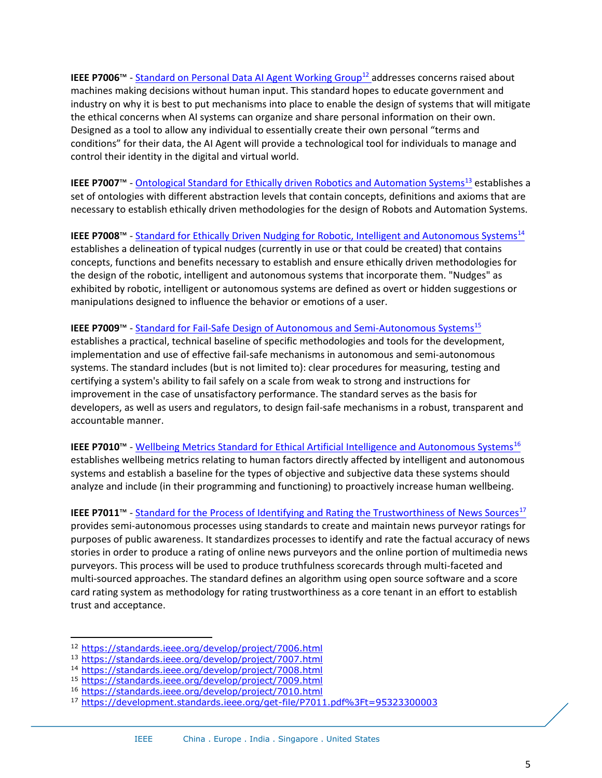**IEEE P7006™ - [Standard on Personal Data AI Agent Working Group](https://standards.ieee.org/develop/project/7006.html)<sup>12</sup> addresses concerns raised about** machines making decisions without human input. This standard hopes to educate government and industry on why it is best to put mechanisms into place to enable the design of systems that will mitigate the ethical concerns when AI systems can organize and share personal information on their own. Designed as a tool to allow any individual to essentially create their own personal "terms and conditions" for their data, the AI Agent will provide a technological tool for individuals to manage and control their identity in the digital and virtual world.

**IEEE P7007™ - [Ontological Standard for Ethically driven Robotics and Automation Systems](https://standards.ieee.org/develop/project/7007.html)<sup>13</sup> establishes a** set of ontologies with different abstraction levels that contain concepts, definitions and axioms that are necessary to establish ethically driven methodologies for the design of Robots and Automation Systems.

**IEEE P7008™ - [Standard for Ethically Driven Nudging for Robotic, Intelligent](https://standards.ieee.org/develop/project/7008.html) and Autonomous Systems<sup>14</sup>** establishes a delineation of typical nudges (currently in use or that could be created) that contains concepts, functions and benefits necessary to establish and ensure ethically driven methodologies for the design of the robotic, intelligent and autonomous systems that incorporate them. "Nudges" as exhibited by robotic, intelligent or autonomous systems are defined as overt or hidden suggestions or manipulations designed to influence the behavior or emotions of a user.

## **IEEE P7009™ - [Standard for Fail-Safe Design of Autonomous and Semi-Autonomous Systems](https://standards.ieee.org/develop/project/7009.html)<sup>15</sup>**

establishes a practical, technical baseline of specific methodologies and tools for the development, implementation and use of effective fail-safe mechanisms in autonomous and semi-autonomous systems. The standard includes (but is not limited to): clear procedures for measuring, testing and certifying a system's ability to fail safely on a scale from weak to strong and instructions for improvement in the case of unsatisfactory performance. The standard serves as the basis for developers, as well as users and regulators, to design fail-safe mechanisms in a robust, transparent and accountable manner.

**IEEE P7010™ - [Wellbeing Metrics Standard for Ethical Artificial Intelligence and Autonomous Systems](https://standards.ieee.org/develop/project/7010.html)<sup>16</sup>** establishes wellbeing metrics relating to human factors directly affected by intelligent and autonomous systems and establish a baseline for the types of objective and subjective data these systems should analyze and include (in their programming and functioning) to proactively increase human wellbeing.

**IEEE P7011™** - [Standard for the Process of Identifying and Rating the Trustworthiness of News Sources](mailto:https://development.standards.ieee.org/get-file/P7011.pdf%3Ft=95323300003)<sup>17</sup> provides semi-autonomous processes using standards to create and maintain news purveyor ratings for purposes of public awareness. It standardizes processes to identify and rate the factual accuracy of news stories in order to produce a rating of online news purveyors and the online portion of multimedia news purveyors. This process will be used to produce truthfulness scorecards through multi-faceted and multi-sourced approaches. The standard defines an algorithm using open source software and a score card rating system as methodology for rating trustworthiness as a core tenant in an effort to establish trust and acceptance.

 $\overline{a}$ 

<sup>12</sup> <https://standards.ieee.org/develop/project/7006.html>

<sup>13</sup> <https://standards.ieee.org/develop/project/7007.html>

<sup>14</sup> <https://standards.ieee.org/develop/project/7008.html>

<sup>15</sup> <https://standards.ieee.org/develop/project/7009.html>

<sup>16</sup> <https://standards.ieee.org/develop/project/7010.html>

<sup>17</sup> <https://development.standards.ieee.org/get-file/P7011.pdf%3Ft=95323300003>